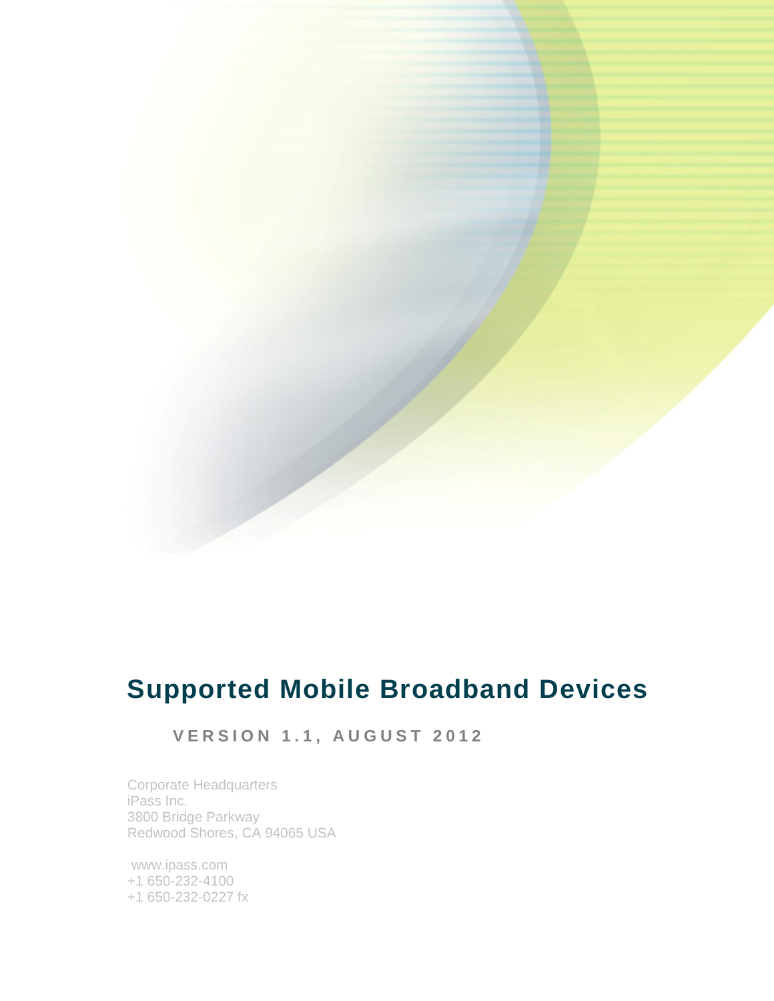

# **Supported Mobile Broadband Devices**

## **V E R S I O N 1 . 1 , A U G U S T 201 2**

Corporate Headquarters iPass Inc. 3800 Bridge Parkway Redwood Shores, CA 94065 USA

www.ipass.com +1 650-232-4100 +1 650-232-0227 fx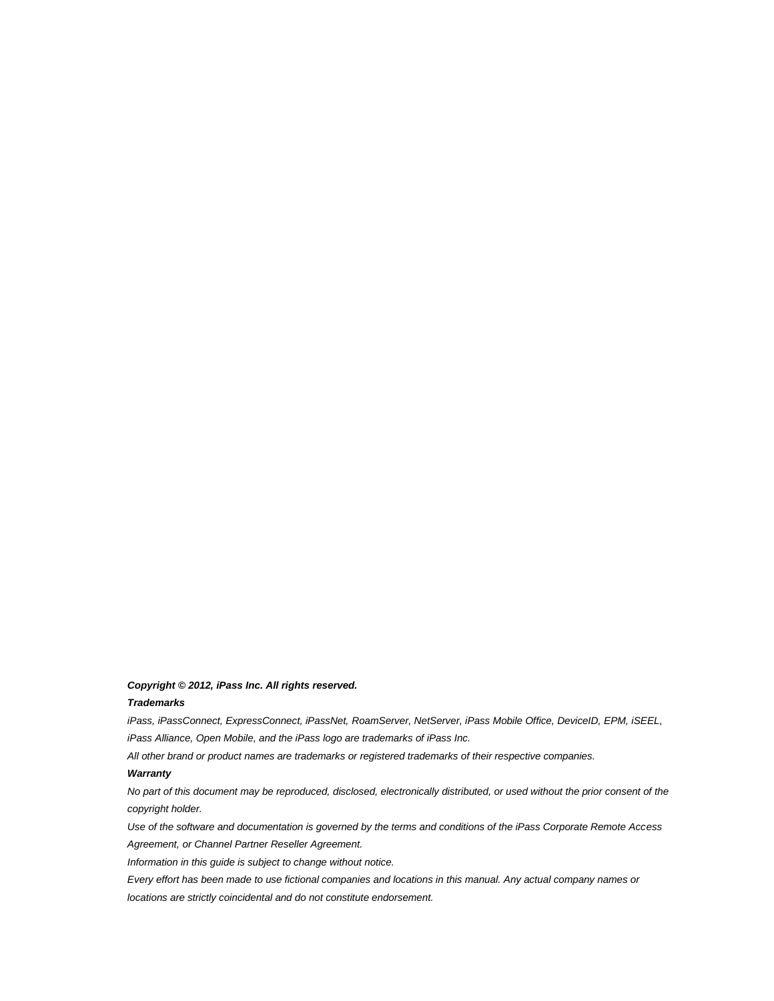#### *Copyright © 2012, iPass Inc. All rights reserved.*

#### *Trademarks*

*iPass, iPassConnect, ExpressConnect, iPassNet, RoamServer, NetServer, iPass Mobile Office, DeviceID, EPM, iSEEL, iPass Alliance, Open Mobile, and the iPass logo are trademarks of iPass Inc.*

*All other brand or product names are trademarks or registered trademarks of their respective companies.* 

#### *Warranty*

*No part of this document may be reproduced, disclosed, electronically distributed, or used without the prior consent of the copyright holder.* 

*Use of the software and documentation is governed by the terms and conditions of the iPass Corporate Remote Access Agreement, or Channel Partner Reseller Agreement.*

*Information in this guide is subject to change without notice.* 

*Every effort has been made to use fictional companies and locations in this manual. Any actual company names or locations are strictly coincidental and do not constitute endorsement.*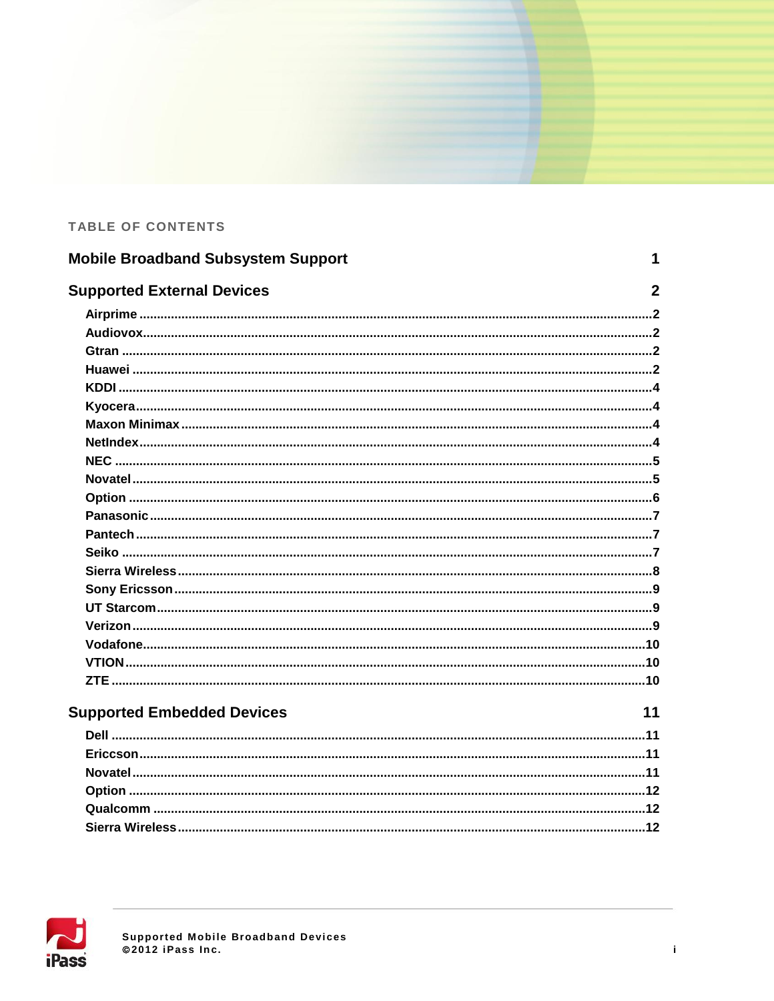### TABLE OF CONTENTS

| <b>Mobile Broadband Subsystem Support</b> | 1              |
|-------------------------------------------|----------------|
| <b>Supported External Devices</b>         | $\overline{2}$ |
|                                           |                |
|                                           |                |
|                                           |                |
|                                           |                |
|                                           |                |
|                                           |                |
|                                           |                |
|                                           |                |
|                                           |                |
|                                           |                |
|                                           |                |
|                                           |                |
|                                           |                |
|                                           |                |
|                                           |                |
|                                           |                |
|                                           |                |
|                                           |                |
|                                           |                |
|                                           |                |
|                                           |                |
| 11<br><b>Supported Embedded Devices</b>   |                |
|                                           |                |
|                                           |                |
|                                           |                |
|                                           |                |
|                                           |                |
|                                           |                |

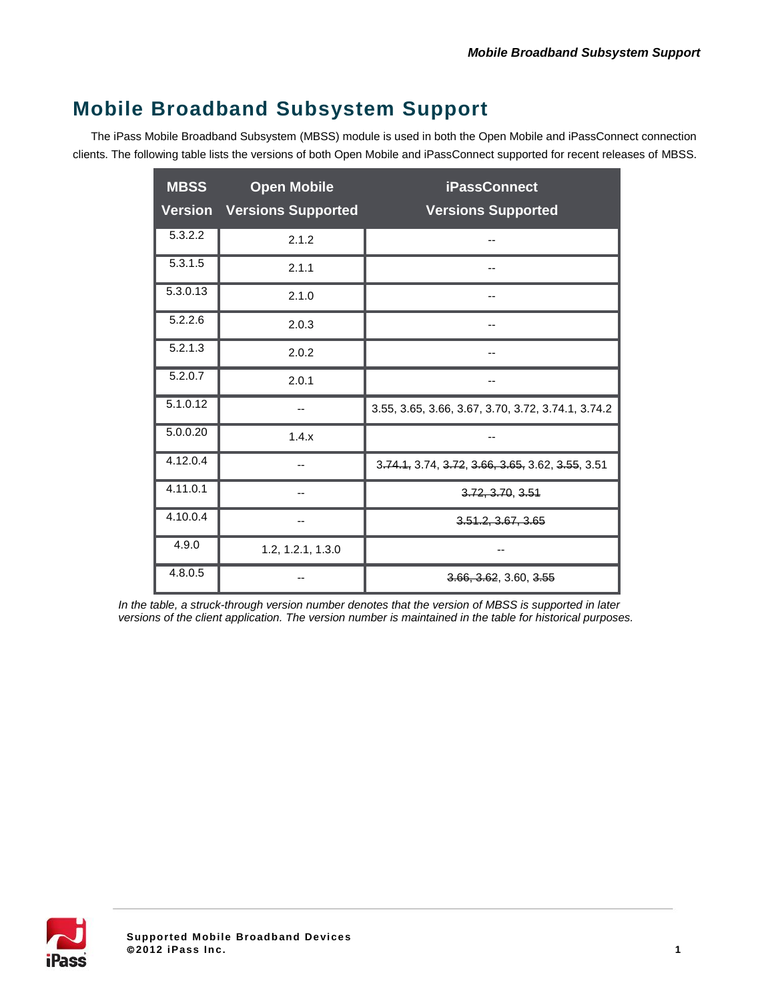# **Mobile Broadband Subsystem Support**

The iPass Mobile Broadband Subsystem (MBSS) module is used in both the Open Mobile and iPassConnect connection clients. The following table lists the versions of both Open Mobile and iPassConnect supported for recent releases of MBSS.

| <b>MBSS</b><br><b>Version</b> | <b>Open Mobile</b><br><b>Versions Supported</b> | <b>iPassConnect</b><br><b>Versions Supported</b>   |
|-------------------------------|-------------------------------------------------|----------------------------------------------------|
| 5.3.2.2                       | 2.1.2                                           | --                                                 |
| 5.3.1.5                       | 2.1.1                                           |                                                    |
| 5.3.0.13                      | 2.1.0                                           |                                                    |
| 5.2.2.6                       | 2.0.3                                           |                                                    |
| 5.2.1.3                       | 2.0.2                                           |                                                    |
| 5.2.0.7                       | 2.0.1                                           |                                                    |
| 5.1.0.12                      |                                                 | 3.55, 3.65, 3.66, 3.67, 3.70, 3.72, 3.74.1, 3.74.2 |
| 5.0.0.20                      | 1.4.x                                           |                                                    |
| 4.12.0.4                      |                                                 | 3.74.1, 3.74, 3.72, 3.66, 3.65, 3.62, 3.55, 3.51   |
| $4.\overline{11.0.1}$         |                                                 | 3.72, 3.70, 3.51                                   |
| 4.10.0.4                      |                                                 | 3.51.2, 3.67, 3.65                                 |
| 4.9.0                         | 1.2, 1.2.1, 1.3.0                               |                                                    |
| 4.8.0.5                       |                                                 | 3.66, 3.62, 3.60, 3.55                             |

*In the table, a struck-through version number denotes that the version of MBSS is supported in later versions of the client application. The version number is maintained in the table for historical purposes.*

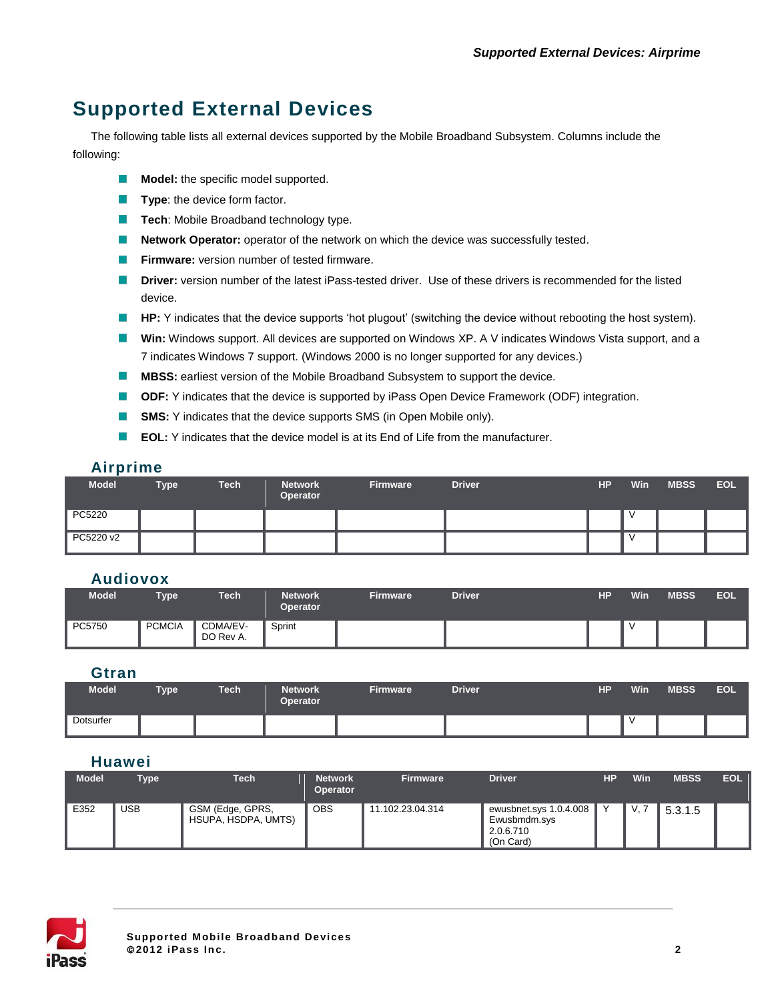# **Supported External Devices**

The following table lists all external devices supported by the Mobile Broadband Subsystem. Columns include the following:

- **Model:** the specific model supported.
- **Type:** the device form factor.
- **Tech: Mobile Broadband technology type.**
- $\mathcal{L}_{\mathcal{A}}$ **Network Operator:** operator of the network on which the device was successfully tested.
- $\mathcal{L}_{\mathcal{A}}$ **Firmware:** version number of tested firmware.
- **Driver:** version number of the latest iPass-tested driver. Use of these drivers is recommended for the listed device.
- **HP:** Y indicates that the device supports 'hot plugout' (switching the device without rebooting the host system).
- **Win:** Windows support. All devices are supported on Windows XP. A V indicates Windows Vista support, and a 7 indicates Windows 7 support. (Windows 2000 is no longer supported for any devices.)
- **MBSS:** earliest version of the Mobile Broadband Subsystem to support the device.
- $\mathbb{R}^n$ **ODF:** Y indicates that the device is supported by iPass Open Device Framework (ODF) integration.
- **SMS:** Y indicates that the device supports SMS (in Open Mobile only).  $\sim$
- $\mathbb{R}^n$ **EOL:** Y indicates that the device model is at its End of Life from the manufacturer.

#### **Airprime**

| <b>Model</b> | <b>Type</b> | <b>Tech</b> | <b>Network</b><br>Operator | <b>Firmware</b> | <b>Driver</b> | <b>HP</b> | <b>Win</b> | <b>MBSS</b> | EOL |
|--------------|-------------|-------------|----------------------------|-----------------|---------------|-----------|------------|-------------|-----|
| PC5220       |             |             |                            |                 |               |           |            |             |     |
| PC5220 v2    |             |             |                            |                 |               |           |            |             |     |

#### **Audiovox**

| Model  | <b>Type</b>   | Tech                  | <b>Network</b><br><b>Operator</b> | <b>Firmware</b> | <b>Driver</b> | <b>HP</b> | Win | <b>MBSS</b> | <b>EOL</b> |
|--------|---------------|-----------------------|-----------------------------------|-----------------|---------------|-----------|-----|-------------|------------|
| PC5750 | <b>PCMCIA</b> | CDMA/EV-<br>DO Rev A. | Sprint                            |                 |               |           |     |             |            |

#### **Gtran**

| <b>Model</b> | <b>Type</b> | <b>Tech</b> | <b>Network</b><br><b>Operator</b> | <b>Firmware</b> | <b>Driver</b> | <b>HP</b> | Win | <b>MBSS</b> | <b>EOL</b> |
|--------------|-------------|-------------|-----------------------------------|-----------------|---------------|-----------|-----|-------------|------------|
| Dotsurfer    |             |             |                                   |                 |               |           |     |             |            |

### **Huawei**

| <b>Model</b> | <b>Type</b> | <b>Tech</b>                             | <b>Network</b><br><b>Operator</b> | <b>Firmware</b>  | <b>Driver</b>                                                    | НP | Win | <b>MBSS</b> | <b>EOL</b> |
|--------------|-------------|-----------------------------------------|-----------------------------------|------------------|------------------------------------------------------------------|----|-----|-------------|------------|
| E352         | <b>USB</b>  | GSM (Edge, GPRS,<br>HSUPA, HSDPA, UMTS) | <b>OBS</b>                        | 11.102.23.04.314 | ewusbnet.sys 1.0.4.008<br>Ewusbmdm.sys<br>2.0.6.710<br>(On Card) |    | V.  | 5.3.1.5     |            |

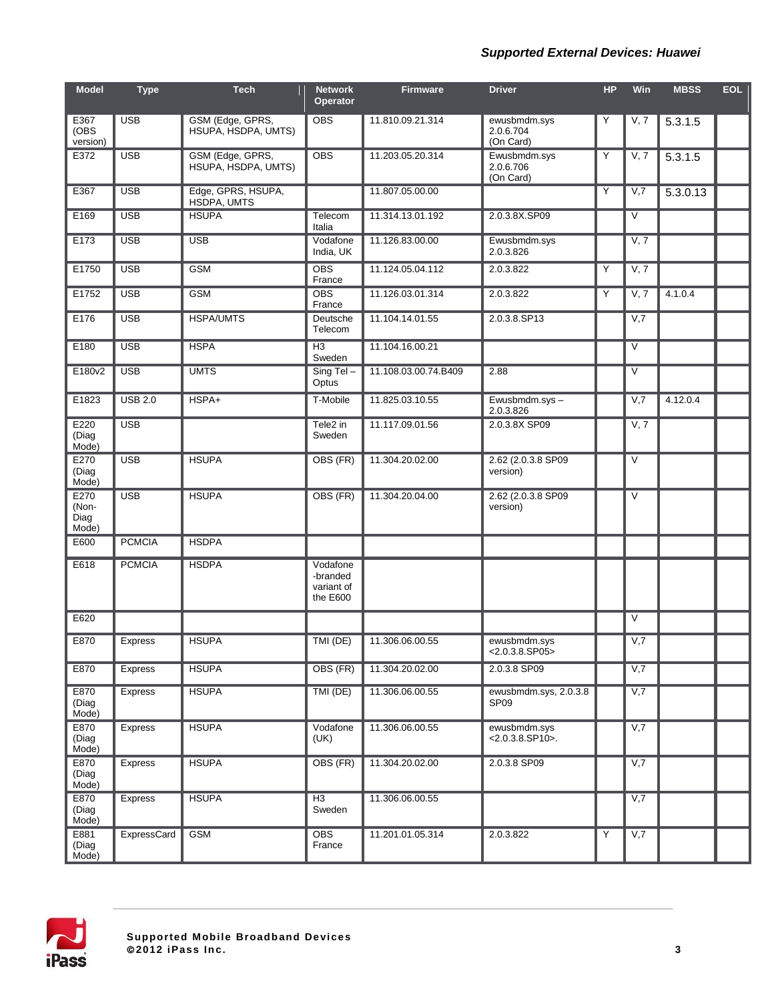#### *Supported External Devices: Huawei*

| <b>Model</b>                   | <b>Type</b>    | <b>Tech</b>                             | <b>Network</b><br><b>Operator</b>              | <b>Firmware</b>      | <b>Driver</b>                             | <b>HP</b> | Win               | <b>MBSS</b> | <b>EOL</b> |
|--------------------------------|----------------|-----------------------------------------|------------------------------------------------|----------------------|-------------------------------------------|-----------|-------------------|-------------|------------|
| E367<br>(OBS)<br>version)      | <b>USB</b>     | GSM (Edge, GPRS,<br>HSUPA, HSDPA, UMTS) | <b>OBS</b>                                     | 11.810.09.21.314     | ewusbmdm.sys<br>2.0.6.704<br>(On Card)    | Y         | V, 7              | 5.3.1.5     |            |
| E372                           | <b>USB</b>     | GSM (Edge, GPRS,<br>HSUPA, HSDPA, UMTS) | <b>OBS</b>                                     | 11.203.05.20.314     | Ewusbmdm.sys<br>2.0.6.706<br>(On Card)    | Y         | V, 7              | 5.3.1.5     |            |
| E367                           | <b>USB</b>     | Edge, GPRS, HSUPA,<br>HSDPA, UMTS       |                                                | 11.807.05.00.00      |                                           | Y         | V,7               | 5.3.0.13    |            |
| E169                           | <b>USB</b>     | <b>HSUPA</b>                            | Telecom<br>Italia                              | 11.314.13.01.192     | 2.0.3.8X.SP09                             |           | V                 |             |            |
| E173                           | <b>USB</b>     | <b>USB</b>                              | Vodafone<br>India, UK                          | 11.126.83.00.00      | Ewusbmdm.sys<br>2.0.3.826                 |           | V, 7              |             |            |
| E1750                          | <b>USB</b>     | <b>GSM</b>                              | <b>OBS</b><br>France                           | 11.124.05.04.112     | 2.0.3.822                                 | Y         | V, 7              |             |            |
| E1752                          | <b>USB</b>     | <b>GSM</b>                              | <b>OBS</b><br>France                           | 11.126.03.01.314     | 2.0.3.822                                 | Y         | V, 7              | 4.1.0.4     |            |
| E176                           | <b>USB</b>     | <b>HSPA/UMTS</b>                        | Deutsche<br>Telecom                            | 11.104.14.01.55      | 2.0.3.8.SP13                              |           | V,7               |             |            |
| E180                           | <b>USB</b>     | <b>HSPA</b>                             | H <sub>3</sub><br>Sweden                       | 11.104.16.00.21      |                                           |           | $\overline{\vee}$ |             |            |
| E180v2                         | <b>USB</b>     | <b>UMTS</b>                             | Sing Tel-<br>Optus                             | 11.108.03.00.74.B409 | 2.88                                      |           | V                 |             |            |
| E1823                          | <b>USB 2.0</b> | HSPA+                                   | T-Mobile                                       | 11.825.03.10.55      | Ewusbmdm.sys-<br>2.0.3.826                |           | V,7               | 4.12.0.4    |            |
| E220<br>(Diag<br>Mode)         | <b>USB</b>     |                                         | Tele2 in<br>Sweden                             | 11.117.09.01.56      | 2.0.3.8X SP09                             |           | V, 7              |             |            |
| E270<br>(Diag<br>Mode)         | <b>USB</b>     | <b>HSUPA</b>                            | OBS (FR)                                       | 11.304.20.02.00      | 2.62 (2.0.3.8 SP09<br>version)            |           | V                 |             |            |
| E270<br>(Non-<br>Diag<br>Mode) | <b>USB</b>     | <b>HSUPA</b>                            | OBS (FR)                                       | 11.304.20.04.00      | 2.62 (2.0.3.8 SP09)<br>version)           |           | V                 |             |            |
| E600                           | <b>PCMCIA</b>  | <b>HSDPA</b>                            |                                                |                      |                                           |           |                   |             |            |
| E618                           | <b>PCMCIA</b>  | <b>HSDPA</b>                            | Vodafone<br>-branded<br>variant of<br>the E600 |                      |                                           |           |                   |             |            |
| E620                           |                |                                         |                                                |                      |                                           |           | V                 |             |            |
| E870                           | <b>Express</b> | <b>HSUPA</b>                            | TMI (DE)                                       | 11.306.06.00.55      | ewusbmdm.sys<br>$< 2.0.3.8.$ SP05>        |           | V,7               |             |            |
| E870                           | <b>Express</b> | <b>HSUPA</b>                            | OBS (FR)                                       | 11.304.20.02.00      | 2.0.3.8 SP09                              |           | V,7               |             |            |
| E870<br>(Diag<br>Mode)         | Express        | <b>HSUPA</b>                            | TMI (DE)                                       | 11.306.06.00.55      | ewusbmdm.sys, 2.0.3.8<br>SP <sub>09</sub> |           | V,7               |             |            |
| E870<br>(Diag<br>Mode)         | Express        | <b>HSUPA</b>                            | Vodafone<br>(UK)                               | 11.306.06.00.55      | ewusbmdm.sys<br>$< 2.0.3.8$ .SP10 $>$ .   |           | V,7               |             |            |
| E870<br>(Diag<br>Mode)         | Express        | <b>HSUPA</b>                            | OBS (FR)                                       | 11.304.20.02.00      | 2.0.3.8 SP09                              |           | V,7               |             |            |
| E870<br>(Diag<br>Mode)         | Express        | <b>HSUPA</b>                            | $\overline{H3}$<br>Sweden                      | 11.306.06.00.55      |                                           |           | V,7               |             |            |
| E881<br>(Diag<br>Mode)         | ExpressCard    | <b>GSM</b>                              | <b>OBS</b><br>France                           | 11.201.01.05.314     | 2.0.3.822                                 | Y         | V,7               |             |            |

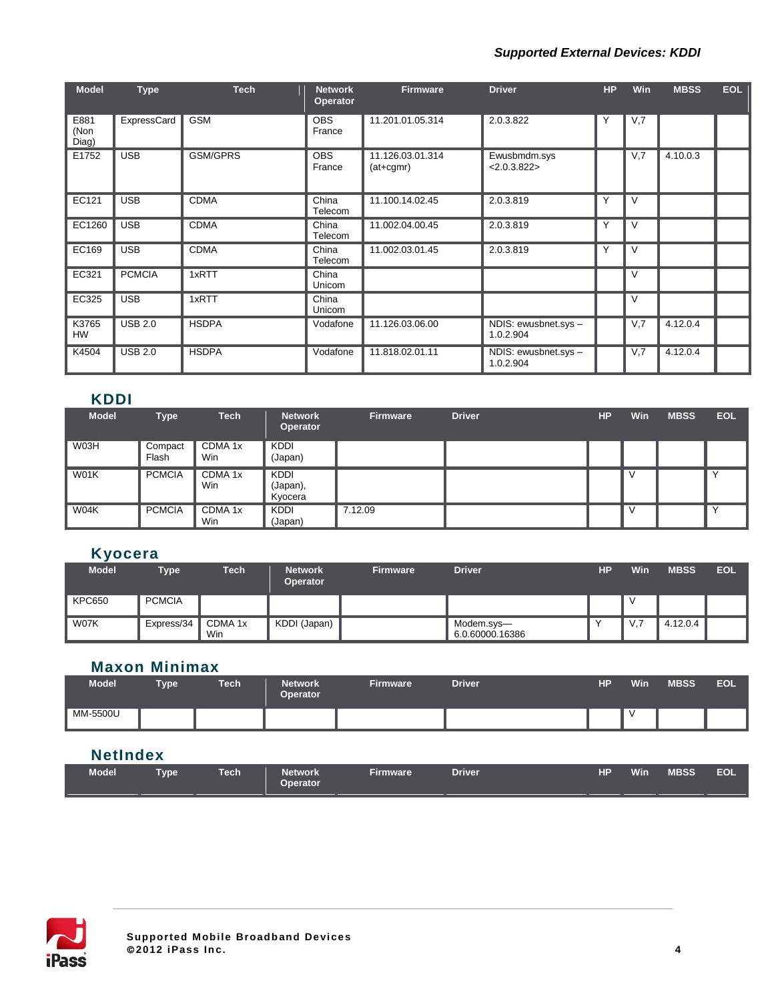#### *Supported External Devices: KDDI*

| <b>Model</b>          | <b>Type</b>    | <b>Tech</b>  | <b>Network</b><br><b>Operator</b> | <b>Firmware</b>                 | <b>Driver</b>                     | HP | <b>Win</b> | <b>MBSS</b> | <b>EOL</b> |
|-----------------------|----------------|--------------|-----------------------------------|---------------------------------|-----------------------------------|----|------------|-------------|------------|
| E881<br>(Non<br>Diag) | ExpressCard    | <b>GSM</b>   | <b>OBS</b><br>France              | 11.201.01.05.314                | 2.0.3.822                         |    | V,7        |             |            |
| E1752                 | <b>USB</b>     | GSM/GPRS     | <b>OBS</b><br>France              | 11.126.03.01.314<br>$(at+cgmr)$ | Ewusbmdm.sys<br>< 2.0.3.822       |    | V,7        | 4.10.0.3    |            |
| EC121                 | <b>USB</b>     | <b>CDMA</b>  | China<br>Telecom                  | 11.100.14.02.45                 | 2.0.3.819                         | Υ  | V          |             |            |
| EC1260                | <b>USB</b>     | <b>CDMA</b>  | China<br>Telecom                  | 11.002.04.00.45                 | 2.0.3.819                         | Υ  | V          |             |            |
| EC169                 | <b>USB</b>     | <b>CDMA</b>  | China<br>Telecom                  | 11.002.03.01.45                 | 2.0.3.819                         | Υ  | V          |             |            |
| EC321                 | <b>PCMCIA</b>  | 1xRTT        | China<br>Unicom                   |                                 |                                   |    | V          |             |            |
| EC325                 | <b>USB</b>     | 1xRTT        | China<br>Unicom                   |                                 |                                   |    | V          |             |            |
| K3765<br>HW           | <b>USB 2.0</b> | <b>HSDPA</b> | Vodafone                          | 11.126.03.06.00                 | NDIS: ewusbnet.sys -<br>1.0.2.904 |    | V,7        | 4.12.0.4    |            |
| K4504                 | <b>USB 2.0</b> | <b>HSDPA</b> | Vodafone                          | 11.818.02.01.11                 | NDIS: ewusbnet.sys -<br>1.0.2.904 |    | V,7        | 4.12.0.4    |            |

### **KDDI**

| <b>Model</b> | <b>Type</b>      | <b>Tech</b>    | <b>Network</b><br>Operator         | Firmware | <b>Driver</b> | <b>HP</b> | Win | <b>MBSS</b> | <b>EOL</b> |
|--------------|------------------|----------------|------------------------------------|----------|---------------|-----------|-----|-------------|------------|
| W03H         | Compact<br>Flash | CDMA 1x<br>Win | <b>KDDI</b><br>(Japan)             |          |               |           |     |             |            |
| W01K         | <b>PCMCIA</b>    | CDMA 1x<br>Win | <b>KDDI</b><br>(Japan),<br>Kyocera |          |               |           |     |             |            |
| W04K         | <b>PCMCIA</b>    | CDMA 1x<br>Win | <b>KDDI</b><br>(Japan)             | 7.12.09  |               |           | v   |             |            |

## **Kyocera**

| Model         | <b>Type</b>   | Tech                      | <b>Network</b><br><b>Operator</b> | <b>Firmware</b> | <b>Driver</b>                 | HР | Win | <b>MBSS</b> | <b>EOL</b> |
|---------------|---------------|---------------------------|-----------------------------------|-----------------|-------------------------------|----|-----|-------------|------------|
| <b>KPC650</b> | <b>PCMCIA</b> |                           |                                   |                 |                               |    |     |             |            |
| W07K          | Express/34    | CDMA <sub>1x</sub><br>Win | KDDI (Japan)                      |                 | Modem.sys-<br>6.0.60000.16386 |    | V.7 | 4.12.0.4    |            |

## **Maxon Minimax**

| <b>Model</b> | <b>Type</b> | Tech | <b>Network</b><br><b>Operator</b> | <b>Firmware</b> | Driver | HР | Win | <b>MBSS</b> | <b>EOL</b> |
|--------------|-------------|------|-----------------------------------|-----------------|--------|----|-----|-------------|------------|
| MM-5500U     |             |      |                                   |                 |        |    |     |             |            |

## **NetIndex**

| HP<br><b>Network</b><br>Driver<br>Tech<br>Firmware<br><b>Type</b><br><b>Operator</b> | <b>Model</b> |  |  |  |  |  |  | <b>Win</b> | <b>MBSS</b> | <b>EOL</b> |
|--------------------------------------------------------------------------------------|--------------|--|--|--|--|--|--|------------|-------------|------------|
|--------------------------------------------------------------------------------------|--------------|--|--|--|--|--|--|------------|-------------|------------|

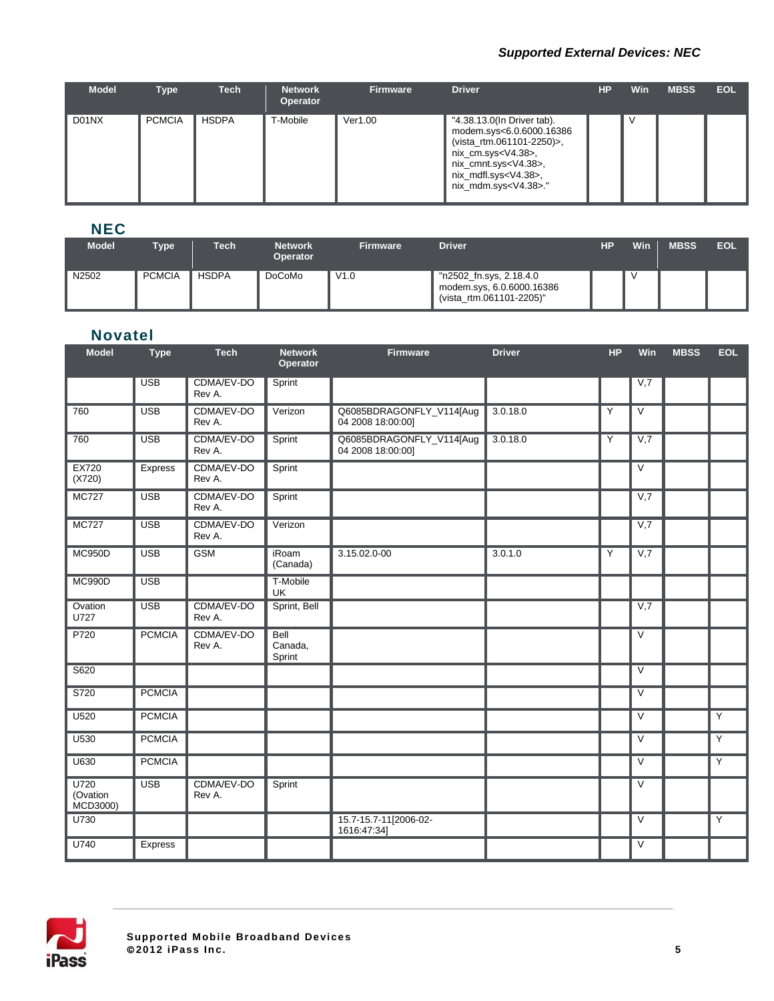#### *Supported External Devices: NEC*

| <b>Model</b> | Type          | <b>Tech</b>  | <b>Network</b><br><b>Operator</b> | <b>Firmware</b> | <b>Driver</b>                                                                                                                                                                                                         | НP | <b>Win</b> | <b>MBSS</b> | <b>EOL</b> |
|--------------|---------------|--------------|-----------------------------------|-----------------|-----------------------------------------------------------------------------------------------------------------------------------------------------------------------------------------------------------------------|----|------------|-------------|------------|
| D01NX        | <b>PCMCIA</b> | <b>HSDPA</b> | T-Mobile                          | Ver1.00         | "4.38.13.0(In Driver tab).<br>modem.sys<6.0.6000.16386<br>(vista_rtm.061101-2250)>,<br>nix_cm.sys <v4.38>,<br/>nix_cmnt.sys<v4.38>,<br/>nix_mdfl.sys<v4.38>,<br/>nix_mdm.sys<v4.38>."</v4.38></v4.38></v4.38></v4.38> |    | ν          |             |            |

## **NEC**

| <b>Model</b> | Type          | <b>Tech</b>  | <b>Network</b>  | <b>Firmware</b> | <b>Driver</b>                                                                    | HР | Win | <b>MBSS</b> | <b>EOL</b> |
|--------------|---------------|--------------|-----------------|-----------------|----------------------------------------------------------------------------------|----|-----|-------------|------------|
|              |               |              | <b>Operator</b> |                 |                                                                                  |    |     |             |            |
| N2502        | <b>PCMCIA</b> | <b>HSDPA</b> | <b>DoCoMo</b>   | V1.0            | "n2502_fn.sys, 2.18.4.0<br>modem.sys, 6.0.6000.16386<br>(vista_rtm.061101-2205)" |    |     |             |            |

#### **Novatel**

| <b>Model</b>                 | <b>Type</b>      | <b>Tech</b>          | <b>Network</b><br>Operator       | <b>Firmware</b>                               | <b>Driver</b> | <b>HP</b> | Win                     | <b>MBSS</b> | <b>EOL</b>     |
|------------------------------|------------------|----------------------|----------------------------------|-----------------------------------------------|---------------|-----------|-------------------------|-------------|----------------|
|                              | <b>USB</b>       | CDMA/EV-DO<br>Rev A. | Sprint                           |                                               |               |           | V,7                     |             |                |
| 760                          | <b>USB</b>       | CDMA/EV-DO<br>Rev A. | Verizon                          | Q6085BDRAGONFLY_V114[Aug<br>04 2008 18:00:00] | 3.0.18.0      | Y         | $\vee$                  |             |                |
| 760                          | <b>USB</b>       | CDMA/EV-DO<br>Rev A. | Sprint                           | Q6085BDRAGONFLY_V114[Aug<br>04 2008 18:00:00] | 3.0.18.0      | Y         | V,7                     |             |                |
| <b>EX720</b><br>(X720)       | <b>Express</b>   | CDMA/EV-DO<br>Rev A. | Sprint                           |                                               |               |           | $\overline{\vee}$       |             |                |
| <b>MC727</b>                 | <b>USB</b>       | CDMA/EV-DO<br>Rev A. | Sprint                           |                                               |               |           | V,7                     |             |                |
| <b>MC727</b>                 | $\overline{USB}$ | CDMA/EV-DO<br>Rev A. | Verizon                          |                                               |               |           | V,7                     |             |                |
| <b>MC950D</b>                | <b>USB</b>       | <b>GSM</b>           | iRoam<br>(Canada)                | 3.15.02.0-00                                  | 3.0.1.0       | Y         | V,7                     |             |                |
| <b>MC990D</b>                | <b>USB</b>       |                      | T-Mobile<br>UK                   |                                               |               |           |                         |             |                |
| Ovation<br>U727              | <b>USB</b>       | CDMA/EV-DO<br>Rev A. | Sprint, Bell                     |                                               |               |           | V,7                     |             |                |
| P720                         | <b>PCMCIA</b>    | CDMA/EV-DO<br>Rev A. | <b>Bell</b><br>Canada,<br>Sprint |                                               |               |           | $\vee$                  |             |                |
| S620                         |                  |                      |                                  |                                               |               |           | $\overline{\mathsf{v}}$ |             |                |
| S720                         | <b>PCMCIA</b>    |                      |                                  |                                               |               |           | $\vee$                  |             |                |
| U520                         | <b>PCMCIA</b>    |                      |                                  |                                               |               |           | $\overline{\vee}$       |             | $\overline{Y}$ |
| U530                         | <b>PCMCIA</b>    |                      |                                  |                                               |               |           | $\vee$                  |             | $\overline{Y}$ |
| U630                         | <b>PCMCIA</b>    |                      |                                  |                                               |               |           | $\vee$                  |             | $\overline{Y}$ |
| U720<br>(Ovation<br>MCD3000) | <b>USB</b>       | CDMA/EV-DO<br>Rev A. | Sprint                           |                                               |               |           | $\overline{\vee}$       |             |                |
| U730                         |                  |                      |                                  | 15.7-15.7-11[2006-02-<br>1616:47:34]          |               |           | $\vee$                  |             | $\overline{Y}$ |
| U740                         | <b>Express</b>   |                      |                                  |                                               |               |           | $\vee$                  |             |                |

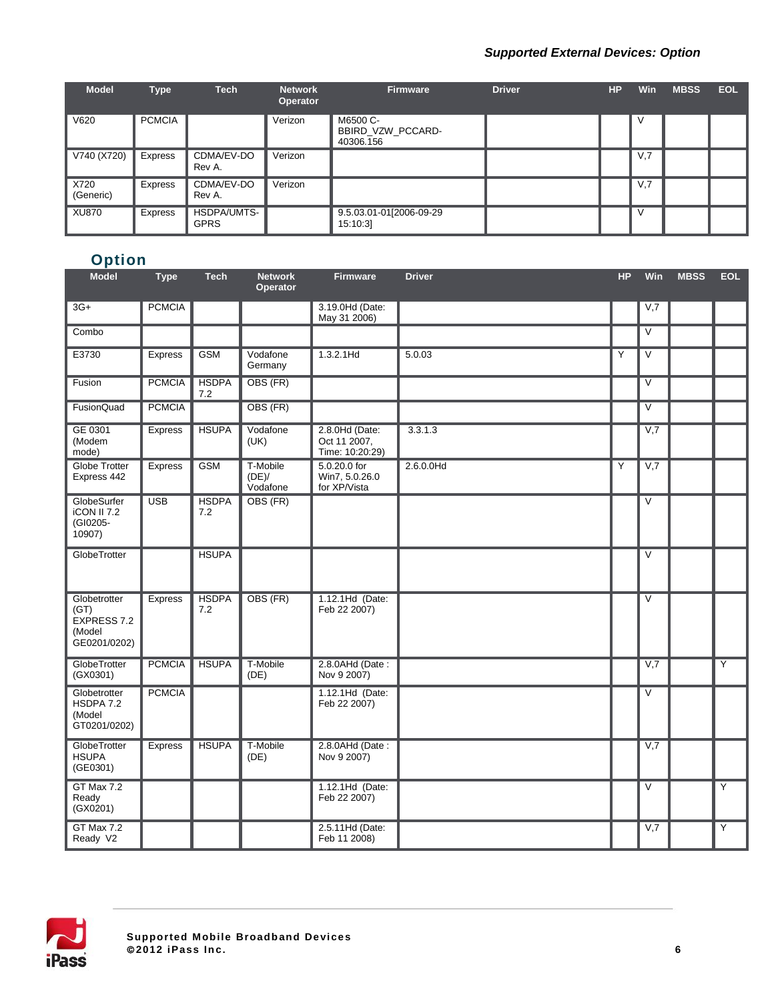#### *Supported External Devices: Option*

| <b>Model</b>      | <b>Type</b>   | <b>Tech</b>                | <b>Network</b><br><b>Operator</b> | <b>Firmware</b>                            | <b>Driver</b> | <b>HP</b> | <b>Win</b> | <b>MBSS</b> | <b>EOL</b> |
|-------------------|---------------|----------------------------|-----------------------------------|--------------------------------------------|---------------|-----------|------------|-------------|------------|
| V620              | <b>PCMCIA</b> |                            | Verizon                           | M6500 C-<br>BBIRD VZW PCCARD-<br>40306.156 |               |           | V          |             |            |
| V740 (X720)       | Express       | CDMA/EV-DO<br>Rev A.       | Verizon                           |                                            |               |           | V,7        |             |            |
| X720<br>(Generic) | Express       | CDMA/EV-DO<br>Rev A.       | Verizon                           |                                            |               |           | V,7        |             |            |
| <b>XU870</b>      | Express       | HSDPA/UMTS-<br><b>GPRS</b> |                                   | 9.5.03.01-01[2006-09-29<br>15:10:3         |               |           | V          |             |            |

## **Option**

| <b>Model</b>                                                  | <b>Type</b>    | <b>Tech</b>         | <b>Network</b><br>Operator    | <b>Firmware</b>                                   | <b>Driver</b> | <b>HP</b> | Win                     | <b>MBSS</b> | <b>EOL</b>     |
|---------------------------------------------------------------|----------------|---------------------|-------------------------------|---------------------------------------------------|---------------|-----------|-------------------------|-------------|----------------|
| $3G+$                                                         | <b>PCMCIA</b>  |                     |                               | 3.19.0Hd (Date:<br>May 31 2006)                   |               |           | V,7                     |             |                |
| Combo                                                         |                |                     |                               |                                                   |               |           | V                       |             |                |
| E3730                                                         | <b>Express</b> | <b>GSM</b>          | Vodafone<br>Germany           | 1.3.2.1Hd                                         | 5.0.03        | Y         | V                       |             |                |
| Fusion                                                        | <b>PCMCIA</b>  | <b>HSDPA</b><br>7.2 | OBS (FR)                      |                                                   |               |           | V                       |             |                |
| FusionQuad                                                    | <b>PCMCIA</b>  |                     | OBS (FR)                      |                                                   |               |           | $\overline{\mathsf{v}}$ |             |                |
| GE 0301<br>(Modem<br>mode)                                    | Express        | <b>HSUPA</b>        | Vodafone<br>(UK)              | 2.8.0Hd (Date:<br>Oct 11 2007,<br>Time: 10:20:29) | 3.3.1.3       |           | V,7                     |             |                |
| Globe Trotter<br>Express 442                                  | Express        | <b>GSM</b>          | T-Mobile<br>(DE)/<br>Vodafone | 5.0.20.0 for<br>Win7, 5.0.26.0<br>for XP/Vista    | 2.6.0.0Hd     | Y         | V,7                     |             |                |
| GlobeSurfer<br><b>iCON II 7.2</b><br>(GI0205-<br>10907)       | <b>USB</b>     | <b>HSDPA</b><br>7.2 | OBS (FR)                      |                                                   |               |           | V                       |             |                |
| GlobeTrotter                                                  |                | <b>HSUPA</b>        |                               |                                                   |               |           | $\vee$                  |             |                |
| Globetrotter<br>(GT)<br>EXPRESS 7.2<br>(Model<br>GE0201/0202) | Express        | <b>HSDPA</b><br>7.2 | OBS (FR)                      | 1.12.1Hd (Date:<br>Feb 22 2007)                   |               |           | $\vee$                  |             |                |
| GlobeTrotter<br>(GX0301)                                      | <b>PCMCIA</b>  | <b>HSUPA</b>        | T-Mobile<br>(DE)              | 2.8.0AHd (Date:<br>Nov 9 2007)                    |               |           | V,7                     |             | Y              |
| Globetrotter<br>HSDPA 7.2<br>(Model<br>GT0201/0202)           | <b>PCMCIA</b>  |                     |                               | 1.12.1Hd (Date:<br>Feb 22 2007)                   |               |           | V                       |             |                |
| GlobeTrotter<br><b>HSUPA</b><br>(GE0301)                      | Express        | <b>HSUPA</b>        | T-Mobile<br>(DE)              | 2.8.0AHd (Date:<br>Nov 9 2007)                    |               |           | V,7                     |             |                |
| GT Max 7.2<br>Ready<br>(GX0201)                               |                |                     |                               | 1.12.1Hd (Date:<br>Feb 22 2007)                   |               |           | $\overline{\vee}$       |             | $\overline{Y}$ |
| GT Max 7.2<br>Ready V2                                        |                |                     |                               | 2.5.11Hd (Date:<br>Feb 11 2008)                   |               |           | V,7                     |             | Υ              |

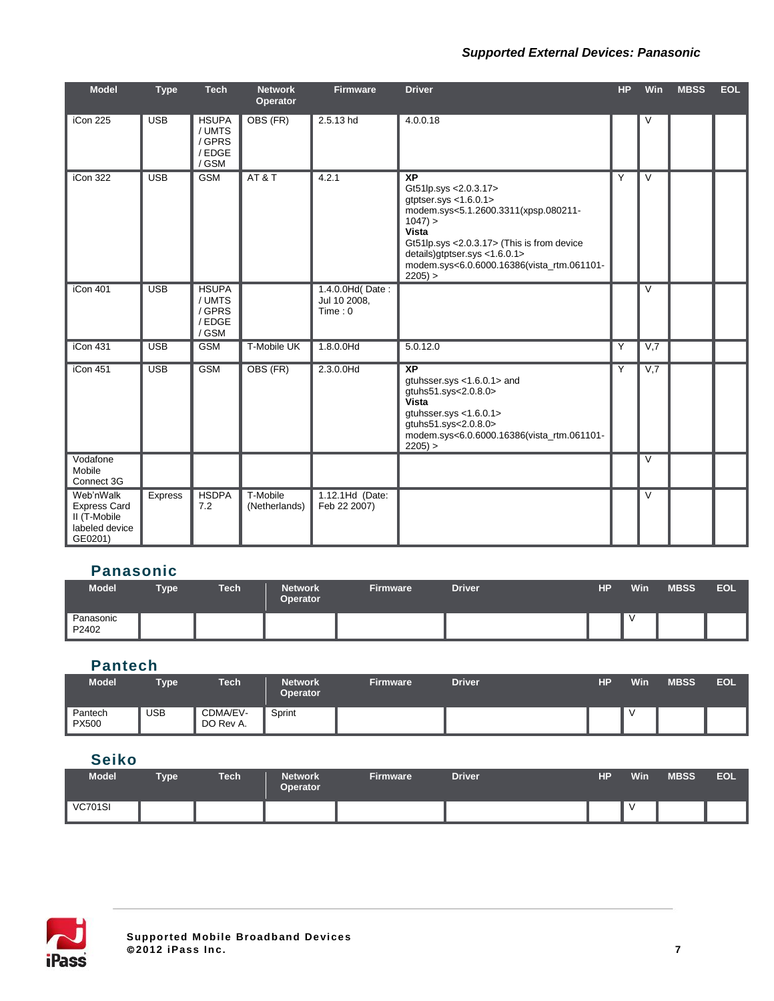#### *Supported External Devices: Panasonic*

| <b>Model</b>                                                                  | <b>Type</b> | <b>Tech</b>                                         | <b>Network</b><br>Operator | <b>Firmware</b>                            | <b>Driver</b>                                                                                                                                                                                                                                                                   | <b>HP</b> | Win            | <b>MBSS</b> | <b>EOL</b> |
|-------------------------------------------------------------------------------|-------------|-----------------------------------------------------|----------------------------|--------------------------------------------|---------------------------------------------------------------------------------------------------------------------------------------------------------------------------------------------------------------------------------------------------------------------------------|-----------|----------------|-------------|------------|
| iCon $225$                                                                    | <b>USB</b>  | <b>HSUPA</b><br>/ UMTS<br>/ GPRS<br>/EDGE<br>/ GSM  | OBS (FR)                   | 2.5.13 hd                                  | 4.0.0.18                                                                                                                                                                                                                                                                        |           | V              |             |            |
| iCon 322                                                                      | <b>USB</b>  | <b>GSM</b>                                          | AT & T                     | 4.2.1                                      | $\overline{XP}$<br>Gt51lp.sys < 2.0.3.17><br>gtptser.sys $<$ 1.6.0.1><br>modem.sys<5.1.2600.3311(xpsp.080211-<br>$1047$ ) ><br>Vista<br>Gt51lp.sys <2.0.3.17> (This is from device<br>details)gtptser.sys <1.6.0.1><br>modem.sys<6.0.6000.16386(vista_rtm.061101-<br>$2205$ ) > | Υ         | $\overline{V}$ |             |            |
| iCon 401                                                                      | <b>USB</b>  | <b>HSUPA</b><br>/ UMTS<br>/ GPRS<br>/ EDGE<br>/ GSM |                            | 1.4.0.0Hd(Date:<br>Jul 10 2008,<br>Time: 0 |                                                                                                                                                                                                                                                                                 |           | $\vee$         |             |            |
| iCon 431                                                                      | <b>USB</b>  | <b>GSM</b>                                          | T-Mobile UK                | 1.8.0.0 Hd                                 | 5.0.12.0                                                                                                                                                                                                                                                                        | Y         | V,7            |             |            |
| iCon 451                                                                      | <b>USB</b>  | <b>GSM</b>                                          | OBS (FR)                   | 2.3.0.0Hd                                  | $\overline{XP}$<br>gtuhsser.sys <1.6.0.1> and<br>gtuhs51.sys<2.0.8.0><br>Vista<br>gtuhsser.sys $<$ 1.6.0.1><br>gtuhs51.sys<2.0.8.0><br>modem.sys<6.0.6000.16386(vista_rtm.061101-<br>$2205$ ) >                                                                                 | Y         | V,7            |             |            |
| Vodafone<br>Mobile<br>Connect 3G                                              |             |                                                     |                            |                                            |                                                                                                                                                                                                                                                                                 |           | $\vee$         |             |            |
| Web'nWalk<br><b>Express Card</b><br>II (T-Mobile<br>labeled device<br>GE0201) | Express     | <b>HSDPA</b><br>7.2                                 | T-Mobile<br>(Netherlands)  | 1.12.1Hd (Date:<br>Feb 22 2007)            |                                                                                                                                                                                                                                                                                 |           | V              |             |            |

## **Panasonic**

| <b>Model</b>       | <b>Type</b> | Tech | <b>Network</b><br><b>Operator</b> | <b>Firmware</b> | <b>Driver</b> | <b>HP</b> | Win | <b>MBSS</b> | <b>EOL</b> |
|--------------------|-------------|------|-----------------------------------|-----------------|---------------|-----------|-----|-------------|------------|
| Panasonic<br>P2402 |             |      |                                   |                 |               |           |     |             |            |

#### **Pantech**

| Model                   | <b>Type</b> | Tech                  | <b>Network</b><br><b>Operator</b> | <b>Firmware</b> | <b>Driver</b> | HР | Win | <b>MBSS</b> | <b>EOL</b> |
|-------------------------|-------------|-----------------------|-----------------------------------|-----------------|---------------|----|-----|-------------|------------|
| Pantech<br><b>PX500</b> | <b>USB</b>  | CDMA/EV-<br>DO Rev A. | Sprint                            |                 |               |    |     |             |            |

#### **Seiko**

| <b>Model</b>   | <b>Type</b> | <b>Tech</b> | <b>Network</b><br><b>Operator</b> | <b>Firmware</b> | <b>Driver</b> | HP | <b>Win</b> | <b>MBSS</b> | <b>EOL</b> |
|----------------|-------------|-------------|-----------------------------------|-----------------|---------------|----|------------|-------------|------------|
| <b>VC701SI</b> |             |             |                                   |                 |               |    |            |             |            |

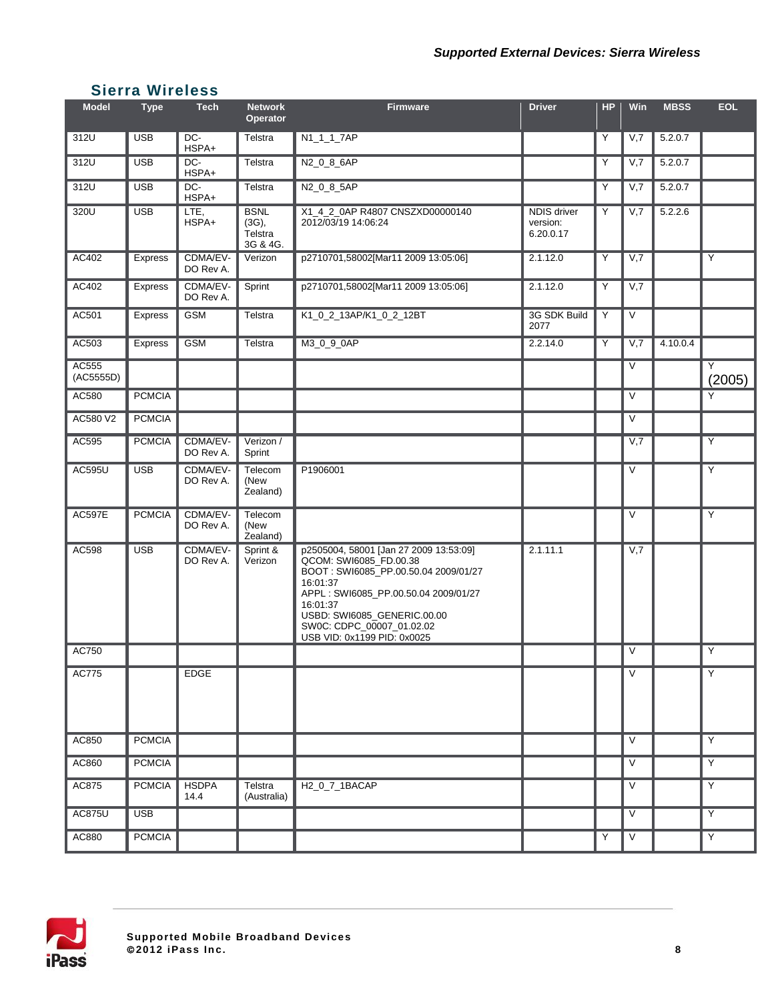### **Sierra Wireless**

| <b>Model</b>       | <b>Type</b>   | <b>Tech</b>           | <b>Network</b><br>Operator                  | <b>Firmware</b>                                                                                                                                                                                                                                                     | <b>Driver</b>                               | <b>HP</b> | Win               | <b>MBSS</b> | <b>EOL</b>  |
|--------------------|---------------|-----------------------|---------------------------------------------|---------------------------------------------------------------------------------------------------------------------------------------------------------------------------------------------------------------------------------------------------------------------|---------------------------------------------|-----------|-------------------|-------------|-------------|
| 312U               | <b>USB</b>    | DC-<br>HSPA+          | Telstra                                     | N1_1_1_7AP                                                                                                                                                                                                                                                          |                                             | Y         | V,7               | 5.2.0.7     |             |
| 312U               | <b>USB</b>    | DC-<br>HSPA+          | Telstra                                     | N2_0_8_6AP                                                                                                                                                                                                                                                          |                                             | Υ         | V,7               | 5.2.0.7     |             |
| 312U               | <b>USB</b>    | DC-<br>HSPA+          | Telstra                                     | N2_0_8_5AP                                                                                                                                                                                                                                                          |                                             | Υ         | V,7               | 5.2.0.7     |             |
| 320U               | <b>USB</b>    | LTE,<br>HSPA+         | <b>BSNL</b><br>(3G),<br>Telstra<br>3G & 4G. | X1_4_2_0AP R4807 CNSZXD00000140<br>2012/03/19 14:06:24                                                                                                                                                                                                              | <b>NDIS driver</b><br>version:<br>6.20.0.17 | Υ         | V,7               | 5.2.2.6     |             |
| <b>AC402</b>       | Express       | CDMA/EV-<br>DO Rev A. | Verizon                                     | p2710701,58002[Mar11 2009 13:05:06]                                                                                                                                                                                                                                 | 2.1.12.0                                    | Y         | V,7               |             | Y           |
| AC402              | Express       | CDMA/EV-<br>DO Rev A. | Sprint                                      | p2710701,58002[Mar11 2009 13:05:06]                                                                                                                                                                                                                                 | 2.1.12.0                                    | Y         | V,7               |             |             |
| AC501              | Express       | <b>GSM</b>            | Telstra                                     | K1_0_2_13AP/K1_0_2_12BT                                                                                                                                                                                                                                             | 3G SDK Build<br>2077                        | Y         | $\vee$            |             |             |
| AC503              | Express       | <b>GSM</b>            | Telstra                                     | M3_0_9_0AP                                                                                                                                                                                                                                                          | 2.2.14.0                                    | Y         | V,7               | 4.10.0.4    |             |
| AC555<br>(AC5555D) |               |                       |                                             |                                                                                                                                                                                                                                                                     |                                             |           | V                 |             | Y<br>(2005) |
| AC580              | <b>PCMCIA</b> |                       |                                             |                                                                                                                                                                                                                                                                     |                                             |           | $\vee$            |             | Y           |
| AC580 V2           | <b>PCMCIA</b> |                       |                                             |                                                                                                                                                                                                                                                                     |                                             |           | $\vee$            |             |             |
| AC595              | <b>PCMCIA</b> | CDMA/EV-<br>DO Rev A. | Verizon /<br>Sprint                         |                                                                                                                                                                                                                                                                     |                                             |           | V,7               |             | Y           |
| AC595U             | <b>USB</b>    | CDMA/EV-<br>DO Rev A. | Telecom<br>(New<br>Zealand)                 | P1906001                                                                                                                                                                                                                                                            |                                             |           | $\vee$            |             | Υ           |
| <b>AC597E</b>      | <b>PCMCIA</b> | CDMA/EV-<br>DO Rev A. | Telecom<br>(New<br>Zealand)                 |                                                                                                                                                                                                                                                                     |                                             |           | $\vee$            |             | Y           |
| AC598              | <b>USB</b>    | CDMA/EV-<br>DO Rev A. | Sprint &<br>Verizon                         | p2505004, 58001 [Jan 27 2009 13:53:09]<br>QCOM: SWI6085 FD.00.38<br>BOOT: SWI6085_PP.00.50.04 2009/01/27<br>16:01:37<br>APPL: SWI6085_PP.00.50.04 2009/01/27<br>16:01:37<br>USBD: SWI6085 GENERIC.00.00<br>SW0C: CDPC_00007_01.02.02<br>USB VID: 0x1199 PID: 0x0025 | 2.1.11.1                                    |           | V,7               |             |             |
| AC750              |               |                       |                                             |                                                                                                                                                                                                                                                                     |                                             |           | $\vee$            |             | Y           |
| AC775              |               | <b>EDGE</b>           |                                             |                                                                                                                                                                                                                                                                     |                                             |           | $\vee$            |             | Υ           |
| AC850              | <b>PCMCIA</b> |                       |                                             |                                                                                                                                                                                                                                                                     |                                             |           | $\vee$            |             | Y           |
| AC860              | <b>PCMCIA</b> |                       |                                             |                                                                                                                                                                                                                                                                     |                                             |           | $\vee$            |             | Y           |
| AC875              | <b>PCMCIA</b> | <b>HSDPA</b><br>14.4  | Telstra<br>(Australia)                      | H2_0_7_1BACAP                                                                                                                                                                                                                                                       |                                             |           | $\overline{\vee}$ |             | Y           |
| AC875U             | <b>USB</b>    |                       |                                             |                                                                                                                                                                                                                                                                     |                                             |           | $\vee$            |             | Υ           |
| AC880              | <b>PCMCIA</b> |                       |                                             |                                                                                                                                                                                                                                                                     |                                             | Y         | $\vee$            |             | Y           |

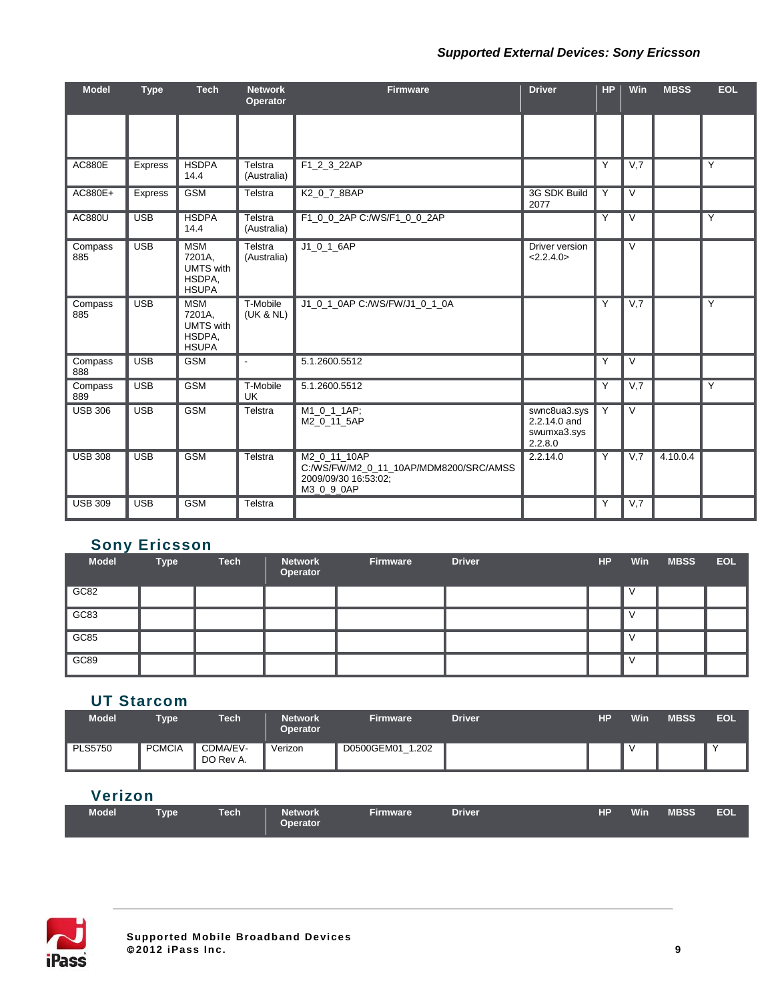#### *Supported External Devices: Sony Ericsson*

| <b>Model</b>   | <b>Type</b>    | <b>Tech</b>                                                        | <b>Network</b><br>Operator | <b>Firmware</b>                                                                              | <b>Driver</b>                                          | <b>HP</b>      | Win                     | <b>MBSS</b> | <b>EOL</b>     |
|----------------|----------------|--------------------------------------------------------------------|----------------------------|----------------------------------------------------------------------------------------------|--------------------------------------------------------|----------------|-------------------------|-------------|----------------|
|                |                |                                                                    |                            |                                                                                              |                                                        |                |                         |             |                |
| <b>AC880E</b>  | <b>Express</b> | <b>HSDPA</b><br>14.4                                               | Telstra<br>(Australia)     | F1_2_3_22AP                                                                                  |                                                        | Y              | V,7                     |             | Y              |
| AC880E+        | Express        | <b>GSM</b>                                                         | Telstra                    | K2_0_7_8BAP                                                                                  | 3G SDK Build<br>2077                                   | Y              | $\vee$                  |             |                |
| <b>AC880U</b>  | <b>USB</b>     | <b>HSDPA</b><br>14.4                                               | Telstra<br>(Australia)     | F1_0_0_2AP C:/WS/F1_0_0_2AP                                                                  |                                                        | Y              | $\vee$                  |             | Y              |
| Compass<br>885 | <b>USB</b>     | <b>MSM</b><br>7201A,<br><b>UMTS</b> with<br>HSDPA,<br><b>HSUPA</b> | Telstra<br>(Australia)     | $J1_0_1_6AP$                                                                                 | Driver version<br><2.2.4.0>                            |                | $\overline{\vee}$       |             |                |
| Compass<br>885 | <b>USB</b>     | <b>MSM</b><br>7201A,<br><b>UMTS</b> with<br>HSDPA,<br><b>HSUPA</b> | T-Mobile<br>(UK & NL)      | J1 0 1 0AP C:/WS/FW/J1 0 1 0A                                                                |                                                        | Y              | V,7                     |             | $\overline{Y}$ |
| Compass<br>888 | <b>USB</b>     | <b>GSM</b>                                                         | $\blacksquare$             | 5.1.2600.5512                                                                                |                                                        | $\overline{Y}$ | $\overline{\mathsf{v}}$ |             |                |
| Compass<br>889 | <b>USB</b>     | <b>GSM</b>                                                         | T-Mobile<br>UK             | 5.1.2600.5512                                                                                |                                                        | Y              | V,7                     |             | $\overline{Y}$ |
| <b>USB 306</b> | <b>USB</b>     | <b>GSM</b>                                                         | Telstra                    | M1_0_1_1AP;<br>M2 0 11 5AP                                                                   | swnc8ua3.sys<br>2.2.14.0 and<br>swumxa3.sys<br>2.2.8.0 | Y              | $\overline{\mathsf{v}}$ |             |                |
| <b>USB 308</b> | <b>USB</b>     | <b>GSM</b>                                                         | Telstra                    | M2 0 11 10AP<br>C:/WS/FW/M2_0_11_10AP/MDM8200/SRC/AMSS<br>2009/09/30 16:53:02;<br>M3_0_9_0AP | 2.2.14.0                                               | Y              | V,7                     | 4.10.0.4    |                |
| <b>USB 309</b> | <b>USB</b>     | <b>GSM</b>                                                         | Telstra                    |                                                                                              |                                                        | Y              | V,7                     |             |                |

## **Sony Ericsson**

| __<br><b>Model</b> | <b>Type</b> | <b>Tech</b> | <b>Network</b><br>Operator | Firmware | <b>Driver</b> | HP | <b>Win</b> | <b>MBSS</b> | <b>EOL</b> |
|--------------------|-------------|-------------|----------------------------|----------|---------------|----|------------|-------------|------------|
| GC82               |             |             |                            |          |               |    |            |             |            |
| GC83               |             |             |                            |          |               |    |            |             |            |
| GC85               |             |             |                            |          |               |    | v          |             |            |
| GC89               |             |             |                            |          |               |    | N          |             |            |

## **UT Starcom**

| Model          | <b>Type</b>   | <b>Tech</b>           | <b>Network</b><br><b>Operator</b> | <b>Firmware</b>     | <b>Driver</b> | HР | Win | <b>MBSS</b> | <b>EOL</b> |
|----------------|---------------|-----------------------|-----------------------------------|---------------------|---------------|----|-----|-------------|------------|
| <b>PLS5750</b> | <b>PCMCIA</b> | CDMA/EV-<br>DO Rev A. | Verizon                           | D0500GEM01<br>1.202 |               |    |     |             |            |

## **Verizon**

| <b>Model</b><br>Tvpe | <b>Tech</b> | <b>Network</b><br><b>Operator</b> | <b>Firmware</b> | <b>Driver</b> |  | HP Win MBSS EOL |  |
|----------------------|-------------|-----------------------------------|-----------------|---------------|--|-----------------|--|

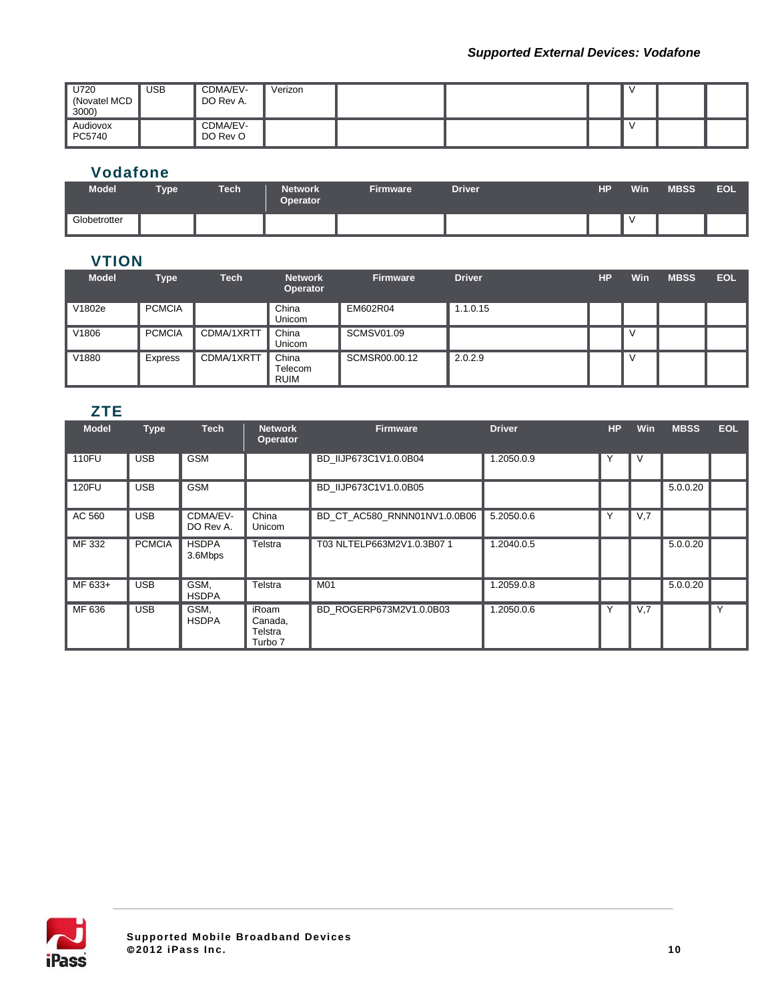| U720<br>(Novatel MCD<br>3000) | <b>USB</b> | CDMA/EV-<br>DO Rev A. | Verizon |  |  |  |
|-------------------------------|------------|-----------------------|---------|--|--|--|
| Audiovox<br>PC5740            |            | CDMA/EV-<br>DO Rev O  |         |  |  |  |

## **Vodafone**

| <b>Model</b> | <b>Type</b> | <b>Tech</b> | <b>Network</b><br><b>Operator</b> | <b>Firmware</b> | <b>Driver</b> | HР | Win | <b>MBSS</b> | EOL |
|--------------|-------------|-------------|-----------------------------------|-----------------|---------------|----|-----|-------------|-----|
| Globetrotter |             |             |                                   |                 |               |    |     |             |     |

## **VTION**

| <b>Model</b> | <b>Type</b>    | <b>Tech</b> | <b>Network</b><br>Operator      | <b>Firmware</b>   | <b>Driver</b> | HP | <b>Win</b> | <b>MBSS</b> | <b>EOL</b> |
|--------------|----------------|-------------|---------------------------------|-------------------|---------------|----|------------|-------------|------------|
| V1802e       | <b>PCMCIA</b>  |             | China<br>Unicom                 | EM602R04          | 1.1.0.15      |    |            |             |            |
| V1806        | <b>PCMCIA</b>  | CDMA/1XRTT  | China<br>Unicom                 | <b>SCMSV01.09</b> |               |    | v          |             |            |
| V1880        | <b>Express</b> | CDMA/1XRTT  | China<br>Telecom<br><b>RUIM</b> | SCMSR00.00.12     | 2.0.2.9       |    | v          |             |            |

## **ZTE**

| <b>Model</b> | <b>Type</b>   | <b>Tech</b>             | <b>Network</b><br><b>Operator</b>      | <b>Firmware</b>              | <b>Driver</b> | HP | <b>Win</b> | <b>MBSS</b> | <b>EOL</b> |
|--------------|---------------|-------------------------|----------------------------------------|------------------------------|---------------|----|------------|-------------|------------|
| <b>110FU</b> | <b>USB</b>    | <b>GSM</b>              |                                        | BD IIJP673C1V1.0.0B04        | 1.2050.0.9    | Υ  | V          |             |            |
| <b>120FU</b> | <b>USB</b>    | <b>GSM</b>              |                                        | BD IIJP673C1V1.0.0B05        |               |    |            | 5.0.0.20    |            |
| AC 560       | <b>USB</b>    | CDMA/EV-<br>DO Rev A.   | China<br>Unicom                        | BD CT AC580 RNNN01NV1.0.0B06 | 5.2050.0.6    |    | V,7        |             |            |
| MF 332       | <b>PCMCIA</b> | <b>HSDPA</b><br>3.6Mbps | Telstra                                | T03 NLTELP663M2V1.0.3B07 1   | 1.2040.0.5    |    |            | 5.0.0.20    |            |
| MF 633+      | <b>USB</b>    | GSM,<br><b>HSDPA</b>    | Telstra                                | M01                          | 1.2059.0.8    |    |            | 5.0.0.20    |            |
| MF 636       | <b>USB</b>    | GSM,<br><b>HSDPA</b>    | iRoam<br>Canada,<br>Telstra<br>Turbo 7 | BD ROGERP673M2V1.0.0B03      | 1.2050.0.6    |    | V,7        |             | Y          |

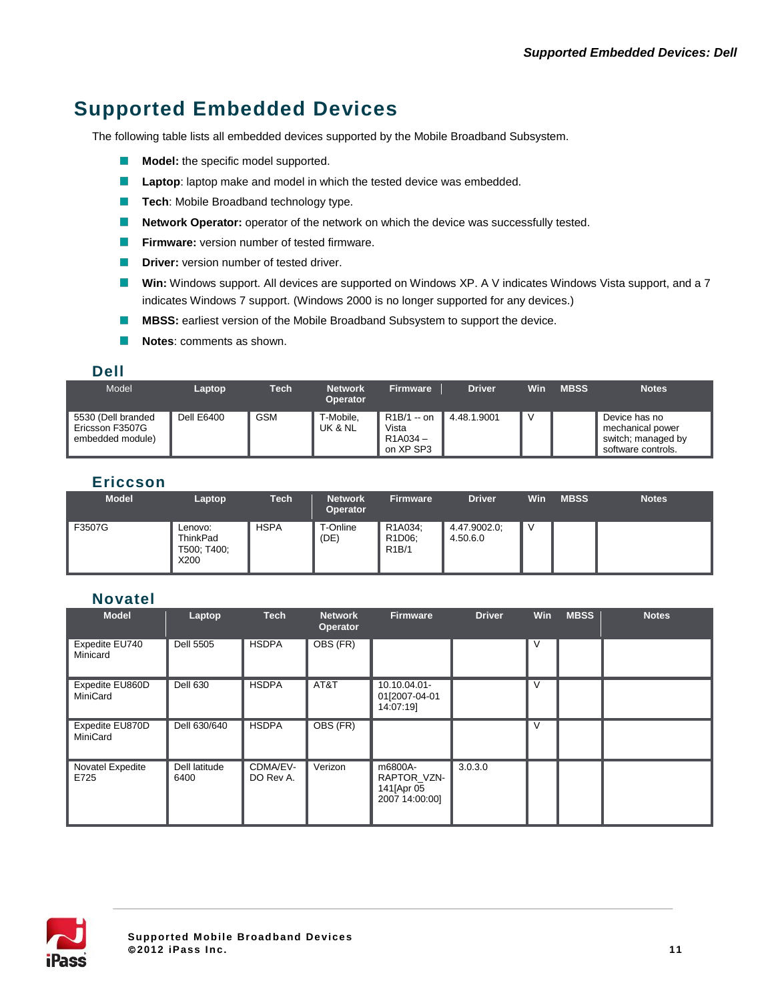# **Supported Embedded Devices**

The following table lists all embedded devices supported by the Mobile Broadband Subsystem.

- **Model:** the specific model supported.
- **Laptop**: laptop make and model in which the tested device was embedded.
- **Tech:** Mobile Broadband technology type.
- **Network Operator:** operator of the network on which the device was successfully tested.  $\mathcal{L}_{\rm{max}}$
- $\mathcal{L}_{\rm{max}}$ **Firmware:** version number of tested firmware.
- **Driver:** version number of tested driver.  $\mathcal{L}^{\mathcal{A}}$
- **Win:** Windows support. All devices are supported on Windows XP. A V indicates Windows Vista support, and a 7 indicates Windows 7 support. (Windows 2000 is no longer supported for any devices.)
- $\sim 10$ **MBSS:** earliest version of the Mobile Broadband Subsystem to support the device.
- $\mathcal{L}_{\mathcal{A}}$ **Notes**: comments as shown.

#### **Dell**

| Model                                                     | Laptop     | Tech       | <b>Network</b><br><b>Operator</b> | <b>Firmware</b>                               | <b>Driver</b> | Win | <b>MBSS</b> | <b>Notes</b>                                                                  |
|-----------------------------------------------------------|------------|------------|-----------------------------------|-----------------------------------------------|---------------|-----|-------------|-------------------------------------------------------------------------------|
| 5530 (Dell branded<br>Ericsson F3507G<br>embedded module) | Dell E6400 | <b>GSM</b> | T-Mobile,<br>UK & NL              | $R1B/1 - on$<br>Vista<br>R1A034-<br>on XP SP3 | 4.48.1.9001   | N   |             | Device has no<br>mechanical power<br>switch; managed by<br>software controls. |

#### **Ericcson**

| <b>Model</b> | Laptop                                     | <b>Tech</b> | <b>Network</b><br><b>Operator</b> | <b>Firmware</b>                                                   | <b>Driver</b>            | Win | <b>MBSS</b> | <b>Notes</b> |
|--------------|--------------------------------------------|-------------|-----------------------------------|-------------------------------------------------------------------|--------------------------|-----|-------------|--------------|
| F3507G       | Lenovo:<br>ThinkPad<br>T500; T400;<br>X200 | <b>HSPA</b> | T-Online<br>(DE)                  | R1A034;<br>R <sub>1</sub> D <sub>06</sub> :<br>R <sub>1</sub> B/1 | 4.47.9002.0;<br>4.50.6.0 | M   |             |              |

#### **Novatel**

| <b>Model</b>                | Laptop                | <b>Tech</b>           | <b>Network</b><br>Operator | <b>Firmware</b>                                         | <b>Driver</b> | Win | <b>MBSS</b> | <b>Notes</b> |
|-----------------------------|-----------------------|-----------------------|----------------------------|---------------------------------------------------------|---------------|-----|-------------|--------------|
| Expedite EU740<br>Minicard  | Dell 5505             | <b>HSDPA</b>          | OBS (FR)                   |                                                         |               | V   |             |              |
| Expedite EU860D<br>MiniCard | <b>Dell 630</b>       | <b>HSDPA</b>          | AT&T                       | 10.10.04.01-<br>01[2007-04-01<br>14:07:19]              |               | V   |             |              |
| Expedite EU870D<br>MiniCard | Dell 630/640          | <b>HSDPA</b>          | OBS (FR)                   |                                                         |               | v   |             |              |
| Novatel Expedite<br>E725    | Dell latitude<br>6400 | CDMA/EV-<br>DO Rev A. | Verizon                    | m6800A-<br>RAPTOR VZN-<br>141 [Apr 05<br>2007 14:00:00] | 3.0.3.0       |     |             |              |

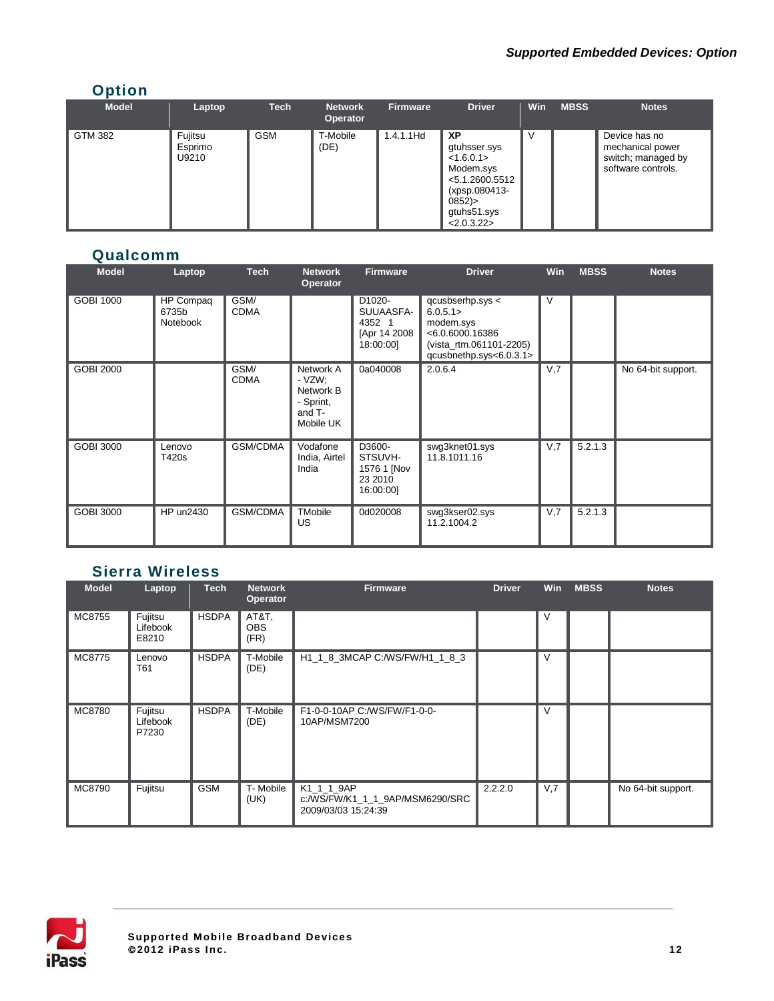## **Option**

| <b>Model</b>   | Laptop                      | <b>Tech</b> | <b>Network</b><br><b>Operator</b> | <b>Firmware</b> | <b>Driver</b>                                                                                                            | Win | <b>MBSS</b> | <b>Notes</b>                                                                  |
|----------------|-----------------------------|-------------|-----------------------------------|-----------------|--------------------------------------------------------------------------------------------------------------------------|-----|-------------|-------------------------------------------------------------------------------|
| <b>GTM 382</b> | Fujitsu<br>Esprimo<br>U9210 | <b>GSM</b>  | T-Mobile<br>(DE)                  | $1.4.1.1$ Hd    | XP<br>gtuhsser.sys<br>< 1.6.0.1<br>Modem.sys<br><5.1.2600.5512<br>(xpsp.080413-<br>$0852$ )<br>gtuhs51.sys<br>< 2.0.3.22 | v   |             | Device has no<br>mechanical power<br>switch; managed by<br>software controls. |

#### **Qualcomm**

| <b>Model</b>     | Laptop                         | <b>Tech</b>         | <b>Network</b><br>Operator                                           | <b>Firmware</b>                                            | <b>Driver</b>                                                                                                       | Win    | <b>MBSS</b> | <b>Notes</b>       |
|------------------|--------------------------------|---------------------|----------------------------------------------------------------------|------------------------------------------------------------|---------------------------------------------------------------------------------------------------------------------|--------|-------------|--------------------|
| <b>GOBI 1000</b> | HP Compaq<br>6735b<br>Notebook | GSM/<br><b>CDMA</b> |                                                                      | D1020-<br>SUUAASFA-<br>4352 1<br>[Apr 14 2008<br>18:00:00] | qcusbserhp.sys <<br>6.0.5.1><br>modem.sys<br>< 6.0.6000.16386<br>(vista_rtm.061101-2205)<br>qcusbnethp.sys<6.0.3.1> | $\vee$ |             |                    |
| <b>GOBI 2000</b> |                                | GSM/<br><b>CDMA</b> | Network A<br>- VZW;<br>Network B<br>- Sprint,<br>and T-<br>Mobile UK | 0a040008                                                   | 2.0.6.4                                                                                                             | V,7    |             | No 64-bit support. |
| GOBI 3000        | Lenovo<br>T420s                | GSM/CDMA            | Vodafone<br>India, Airtel<br>India                                   | D3600-<br>STSUVH-<br>1576 1 [Nov<br>23 2010<br>16:00:00]   | swg3knet01.sys<br>11.8.1011.16                                                                                      | V,7    | 5.2.1.3     |                    |
| <b>GOBI 3000</b> | HP un2430                      | <b>GSM/CDMA</b>     | <b>TMobile</b><br>US.                                                | 0d020008                                                   | swg3kser02.sys<br>11.2.1004.2                                                                                       | V,7    | 5.2.1.3     |                    |

## **Sierra Wireless**

| <b>Model</b> | Laptop                       | <b>Tech</b>  | <b>Network</b><br>Operator  | <b>Firmware</b>                                                      | <b>Driver</b> | <b>Win</b> | <b>MBSS</b> | <b>Notes</b>       |
|--------------|------------------------------|--------------|-----------------------------|----------------------------------------------------------------------|---------------|------------|-------------|--------------------|
| MC8755       | Fujitsu<br>Lifebook<br>E8210 | <b>HSDPA</b> | AT&T,<br><b>OBS</b><br>(FR) |                                                                      |               | V          |             |                    |
| MC8775       | Lenovo<br>T61                | <b>HSDPA</b> | T-Mobile<br>(DE)            | H1 1 8 3MCAP C:/WS/FW/H1 1 8 3                                       |               | V          |             |                    |
| MC8780       | Fujitsu<br>Lifebook<br>P7230 | <b>HSDPA</b> | T-Mobile<br>(DE)            | F1-0-0-10AP C:/WS/FW/F1-0-0-<br>10AP/MSM7200                         |               | $\vee$     |             |                    |
| MC8790       | Fujitsu                      | <b>GSM</b>   | T- Mobile<br>(UK)           | K1 1 1 9AP<br>c:/WS/FW/K1_1_1_9AP/MSM6290/SRC<br>2009/03/03 15:24:39 | 2.2.2.0       | V,7        |             | No 64-bit support. |